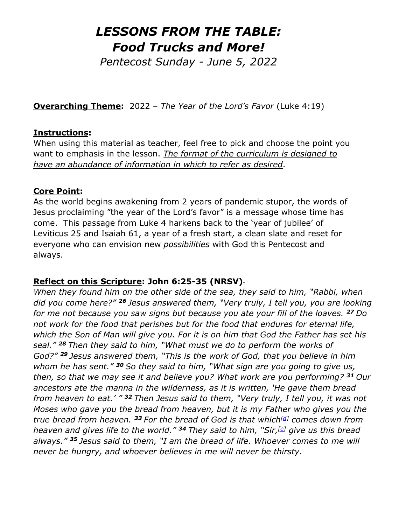# *LESSONS FROM THE TABLE: Food Trucks and More!*

*Pentecost Sunday - June 5, 2022* 

**Overarching Theme:** 2022 – *The Year of the Lord's Favor* (Luke 4:19)

#### **Instructions:**

When using this material as teacher, feel free to pick and choose the point you want to emphasis in the lesson. *The format of the curriculum is designed to have an abundance of information in which to refer as desired*.

#### **Core Point:**

As the world begins awakening from 2 years of pandemic stupor, the words of Jesus proclaiming "the year of the Lord's favor" is a message whose time has come. This passage from Luke 4 harkens back to the 'year of jubilee' of Leviticus 25 and Isaiah 61, a year of a fresh start, a clean slate and reset for everyone who can envision new *possibilities* with God this Pentecost and always.

## **Reflect on this Scripture: John 6:25-35 (NRSV)**

*When they found him on the other side of the sea, they said to him, "Rabbi, when did you come here?" <sup>26</sup> Jesus answered them, "Very truly, I tell you, you are looking for me not because you saw signs but because you ate your fill of the loaves. <sup>27</sup> Do not work for the food that perishes but for the food that endures for eternal life, which the Son of Man will give you. For it is on him that God the Father has set his seal." <sup>28</sup> Then they said to him, "What must we do to perform the works of God?" <sup>29</sup> Jesus answered them, "This is the work of God, that you believe in him whom he has sent." <sup>30</sup> So they said to him, "What sign are you going to give us, then, so that we may see it and believe you? What work are you performing? <sup>31</sup> Our ancestors ate the manna in the wilderness, as it is written, 'He gave them bread from heaven to eat.' " <sup>32</sup> Then Jesus said to them, "Very truly, I tell you, it was not Moses who gave you the bread from heaven, but it is my Father who gives you the true bread from heaven. <sup>33</sup> For the bread of God is that which[\[d\]](https://www.biblegateway.com/passage/?search=John6&version=NRSVUE;NIV;CEB#fen-NRSVUE-26280d) comes down from heaven and gives life to the world." <sup>34</sup> They said to him, "Sir,[\[e\]](https://www.biblegateway.com/passage/?search=John6&version=NRSVUE;NIV;CEB#fen-NRSVUE-26281e) give us this bread always." <sup>35</sup> Jesus said to them, "I am the bread of life. Whoever comes to me will never be hungry, and whoever believes in me will never be thirsty.*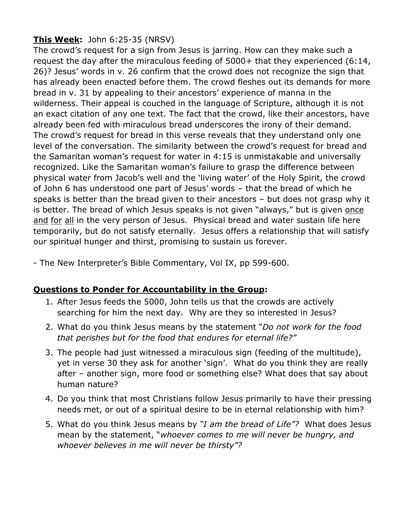## **This Week:** John 6:25-35 (NRSV)

The crowd's request for a sign from Jesus is jarring. How can they make such a request the day after the miraculous feeding of 5000+ that they experienced (6:14, 26)? Jesus' words in v. 26 confirm that the crowd does not recognize the sign that has already been enacted before them. The crowd fleshes out its demands for more bread in v. 31 by appealing to their ancestors' experience of manna in the wilderness. Their appeal is couched in the language of Scripture, although it is not an exact citation of any one text. The fact that the crowd, like their ancestors, have already been fed with miraculous bread underscores the irony of their demand. The crowd's request for bread in this verse reveals that they understand only one level of the conversation. The similarity between the crowd's request for bread and the Samaritan woman's request for water in 4:15 is unmistakable and universally recognized. Like the Samaritan woman's failure to grasp the difference between physical water from Jacob's well and the 'living water' of the Holy Spirit, the crowd of John 6 has understood one part of Jesus' words – that the bread of which he speaks is better than the bread given to their ancestors – but does not grasp why it is better. The bread of which Jesus speaks is not given "always," but is given once and for all in the very person of Jesus. Physical bread and water sustain life here temporarily, but do not satisfy eternally. Jesus offers a relationship that will satisfy our spiritual hunger and thirst, promising to sustain us forever.

- The New Interpreter's Bible Commentary, Vol IX, pp 599-600.

#### **Questions to Ponder for Accountability in the Group:**

- 1. After Jesus feeds the 5000, John tells us that the crowds are actively searching for him the next day. Why are they so interested in Jesus?
- 2. What do you think Jesus means by the statement "*Do not work for the food that perishes but for the food that endures for eternal life?"*
- 3. The people had just witnessed a miraculous sign (feeding of the multitude), yet in verse 30 they ask for another 'sign'. What do you think they are really after – another sign, more food or something else? What does that say about human nature?
- 4. Do you think that most Christians follow Jesus primarily to have their pressing needs met, or out of a spiritual desire to be in eternal relationship with him?
- 5. What do you think Jesus means by *"I am the bread of Life"?* What does Jesus mean by the statement, "*whoever comes to me will never be hungry, and whoever believes in me will never be thirsty"?*